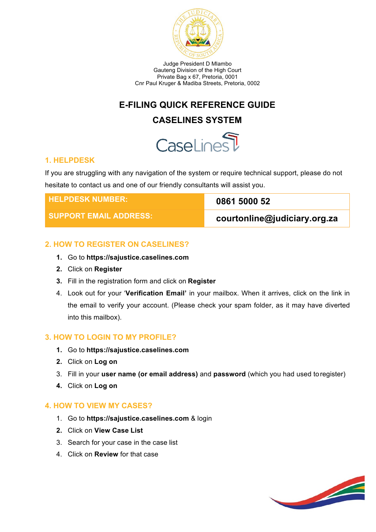

Judge President D Mlambo Gauteng Division of the High Court Private Bag x 67, Pretoria, 0001 Cnr Paul Kruger & Madiba Streets, Pretoria, 0002

# **E-FILING QUICK REFERENCE GUIDE**

# **CASELINES SYSTEM**

# CaseLinesT

#### **1. HELPDESK**

If you are struggling with any navigation of the system or require technical support, please do not hesitate to contact us and one of our friendly consultants will assist you.

| <b>I HELPDESK NUMBER:</b>     | 0861 5000 52                 |
|-------------------------------|------------------------------|
| <b>SUPPORT EMAIL ADDRESS:</b> | courtonline@judiciary.org.za |

# **2. HOW TO REGISTER ON CASELINES?**

- **1.** Go to **https://sajustice.caselines.com**
- **2.** Click on **Register**
- **3.** Fill in the registration form and click on **Register**
- 4. Look out for your '**Verification Email'** in your mailbox. When it arrives, click on the link in the email to verify your account. (Please check your spam folder, as it may have diverted into this mailbox).

# **3. HOW TO LOGIN TO MY PROFILE?**

- **1.** Go to **https://sajustice.caselines.com**
- **2.** Click on **Log on**
- 3. Fill in your **user name (or email address)** and **password** (which you had used toregister)
- **4.** Click on **Log on**

# **4. HOW TO VIEW MY CASES?**

- 1. Go to **https://sajustice.caselines.com** & login
- **2.** Click on **View Case List**
- 3. Search for your case in the case list
- 4. Click on **Review** for that case

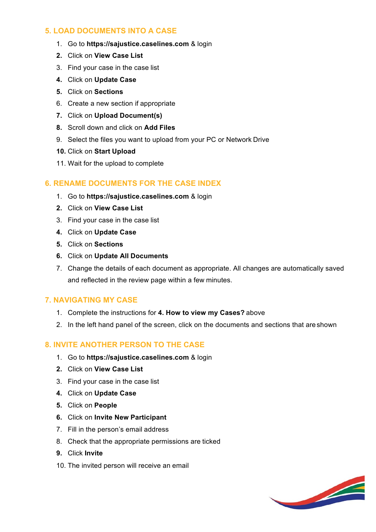## **5. LOAD DOCUMENTS INTO A CASE**

- 1. Go to **https://sajustice.caselines.com** & login
- **2.** Click on **View Case List**
- 3. Find your case in the case list
- **4.** Click on **Update Case**
- **5.** Click on **Sections**
- 6. Create a new section if appropriate
- **7.** Click on **Upload Document(s)**
- **8.** Scroll down and click on **Add Files**
- 9. Select the files you want to upload from your PC or Network Drive
- **10.** Click on **Start Upload**
- 11. Wait for the upload to complete

# **6. RENAME DOCUMENTS FOR THE CASE INDEX**

- 1. Go to **https://sajustice.caselines.com** & login
- **2.** Click on **View Case List**
- 3. Find your case in the case list
- **4.** Click on **Update Case**
- **5.** Click on **Sections**
- **6.** Click on **Update All Documents**
- 7. Change the details of each document as appropriate. All changes are automatically saved and reflected in the review page within a few minutes.

#### **7. NAVIGATING MY CASE**

- 1. Complete the instructions for **4. How to view my Cases?** above
- 2. In the left hand panel of the screen, click on the documents and sections that are shown

# **8. INVITE ANOTHER PERSON TO THE CASE**

- 1. Go to **https://sajustice.caselines.com** & login
- **2.** Click on **View Case List**
- 3. Find your case in the case list
- **4.** Click on **Update Case**
- **5.** Click on **People**
- **6.** Click on **Invite New Participant**
- 7. Fill in the person's email address
- 8. Check that the appropriate permissions are ticked
- **9.** Click **Invite**
- 10. The invited person will receive an email

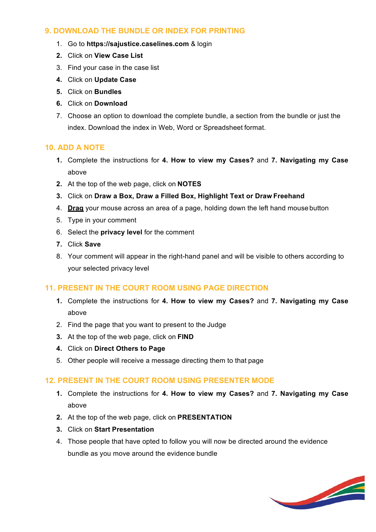## **9. DOWNLOAD THE BUNDLE OR INDEX FOR PRINTING**

- 1. Go to **https://sajustice.caselines.com** & login
- **2.** Click on **View Case List**
- 3. Find your case in the case list
- **4.** Click on **Update Case**
- **5.** Click on **Bundles**
- **6.** Click on **Download**
- 7. Choose an option to download the complete bundle, a section from the bundle or just the index. Download the index in Web, Word or Spreadsheet format.

## **10. ADD A NOTE**

- **1.** Complete the instructions for **4. How to view my Cases?** and **7. Navigating my Case** above
- **2.** At the top of the web page, click on **NOTES**
- **3.** Click on **Draw a Box, Draw a Filled Box, Highlight Text or Draw Freehand**
- 4. **Drag** your mouse across an area of a page, holding down the left hand mouse button
- 5. Type in your comment
- 6. Select the **privacy level** for the comment
- **7.** Click **Save**
- 8. Your comment will appear in the right-hand panel and will be visible to others according to your selected privacy level

#### **11. PRESENT IN THE COURT ROOM USING PAGE DIRECTION**

- **1.** Complete the instructions for **4. How to view my Cases?** and **7. Navigating my Case** above
- 2. Find the page that you want to present to the Judge
- **3.** At the top of the web page, click on **FIND**
- **4.** Click on **Direct Others to Page**
- 5. Other people will receive a message directing them to that page

#### **12. PRESENT IN THE COURT ROOM USING PRESENTER MODE**

- **1.** Complete the instructions for **4. How to view my Cases?** and **7. Navigating my Case** above
- **2.** At the top of the web page, click on **PRESENTATION**
- **3.** Click on **Start Presentation**
- 4. Those people that have opted to follow you will now be directed around the evidence bundle as you move around the evidence bundle